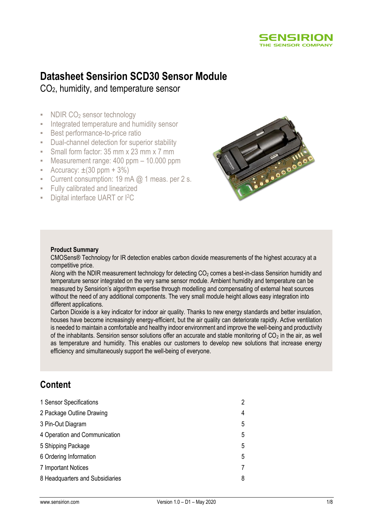

# **Datasheet Sensirion SCD30 Sensor Module**

CO2, humidity, and temperature sensor

- NDIR CO<sub>2</sub> sensor technology
- **EXEC** Integrated temperature and humidity sensor
- **EXECT:** Best performance-to-price ratio
- Dual-channel detection for superior stability
- **E** Small form factor: 35 mm x 23 mm x 7 mm
- Measurement range: 400 ppm 10.000 ppm
- **•** Accuracy:  $\pm(30 \text{ ppm} + 3\%)$
- **•** Current consumption: 19 mA  $@$  1 meas. per 2 s.
- Fully calibrated and linearized
- Digital interface UART or I<sup>2</sup>C



### **Product Summary**

CMOSens® Technology for IR detection enables carbon dioxide measurements of the highest accuracy at a competitive price.

Along with the NDIR measurement technology for detecting  $CO<sub>2</sub>$  comes a best-in-class Sensirion humidity and temperature sensor integrated on the very same sensor module. Ambient humidity and temperature can be measured by Sensirion's algorithm expertise through modelling and compensating of external heat sources without the need of any additional components. The very small module height allows easy integration into different applications.

Carbon Dioxide is a key indicator for indoor air quality. Thanks to new energy standards and better insulation, houses have become increasingly energy-efficient, but the air quality can deteriorate rapidly. Active ventilation is needed to maintain a comfortable and healthy indoor environment and improve the well-being and productivity of the inhabitants. Sensirion sensor solutions offer an accurate and stable monitoring of  $CO<sub>2</sub>$  in the air, as well as temperature and humidity. This enables our customers to develop new solutions that increase energy efficiency and simultaneously support the well-being of everyone.

## **Content**

| 1 Sensor Specifications         | $\mathbf{2}^{\prime}$ |
|---------------------------------|-----------------------|
| 2 Package Outline Drawing       | 4                     |
| 3 Pin-Out Diagram               | 5                     |
| 4 Operation and Communication   | 5                     |
| 5 Shipping Package              | 5                     |
| 6 Ordering Information          | 5                     |
| 7 Important Notices             |                       |
| 8 Headquarters and Subsidiaries | 8                     |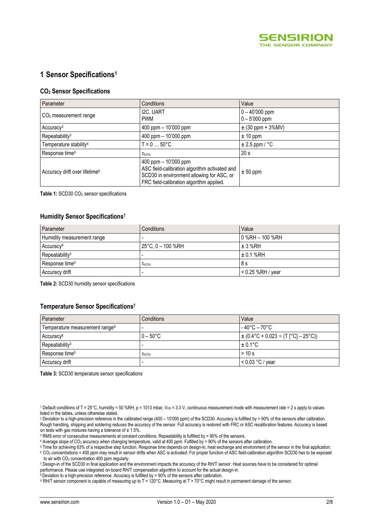

## **1 Sensor Specifications<sup>1</sup>**

#### **CO<sup>2</sup> Sensor Specifications**

<span id="page-1-0"></span>

| Parameter                                 | Conditions                                                                                                                                                        | Value                               |  |
|-------------------------------------------|-------------------------------------------------------------------------------------------------------------------------------------------------------------------|-------------------------------------|--|
| $CO2$ measurement range                   | I2C, UART<br><b>PWM</b>                                                                                                                                           | $0 - 40'000$ ppm<br>$0 - 5'000$ ppm |  |
| Accuracy <sup>2</sup>                     | 400 ppm $-$ 10'000 ppm                                                                                                                                            | $\pm$ (30 ppm + 3%MV)               |  |
| Repeatability <sup>3</sup>                | $400$ ppm $-10'000$ ppm                                                                                                                                           | $± 10$ ppm                          |  |
| Temperature stability <sup>4</sup>        | $T = 0  50^{\circ}C$                                                                                                                                              | $\pm 2.5$ ppm / °C                  |  |
| Response time <sup>5</sup>                | $\tau_{63\%}$                                                                                                                                                     | 20 <sub>s</sub>                     |  |
| Accuracy drift over lifetime <sup>6</sup> | $400$ ppm $-10'000$ ppm<br>ASC field-calibration algorithm activated and<br>SCD30 in environment allowing for ASC, or<br>FRC field-calibration algorithm applied. | $± 50$ ppm                          |  |

<span id="page-1-1"></span>Table 1: SCD30 CO<sub>2</sub> sensor specifications

#### <span id="page-1-2"></span>**Humidity Sensor Specifications 7**

<span id="page-1-3"></span>

| Parameter                  | Conditions                  | Value               |  |
|----------------------------|-----------------------------|---------------------|--|
| Humidity measurement range |                             | l 0 %RH – 100 %RH   |  |
| Accuracy <sup>8</sup>      | $25^{\circ}$ C, 0 – 100 %RH | $\pm$ 3 %RH         |  |
| Repeatability <sup>3</sup> |                             | $\pm$ 0.1 %RH       |  |
| Response time <sup>5</sup> | $\tau_{63\%}$               | 8 s                 |  |
| Accuracy drift             |                             | $< 0.25$ %RH / year |  |

**Table 2:** SCD30 humidity sensor specifications

#### **Temperature Sensor Specification[s](#page-1-2) 7**

| Parameter                                  | <b>Conditions</b>  | Value                                                            |
|--------------------------------------------|--------------------|------------------------------------------------------------------|
| Temperature measurement range <sup>9</sup> |                    | $-40^{\circ}$ C – 70 $^{\circ}$ C                                |
| Accuracy <sup>8</sup>                      | $0 - 50^{\circ}$ C | $\pm (0.4\degree C + 0.023 \times (T \degree C) - 25\degree C))$ |
| Repeatability <sup>3</sup>                 |                    | $\pm 0.1$ °C                                                     |
| Response time <sup>5</sup>                 | $\tau_{63\%}$      | >10 s                                                            |
| Accuracy drift                             |                    | $< 0.03 °C$ / year                                               |

**Table 3:** SCD30 temperature sensor specifications

1 Default conditions of T = 25°C, humidity = 50 %RH, p = 1013 mbar,  $V_{DD}$  = 3.3 V, continuous measurement mode with measurement rate = 2 s apply to values listed in the tables, unless otherwise stated.

<sup>2</sup> Deviation to a high-precision reference in the calibrated range (400 – 10'000 ppm) of the SCD30. Accuracy is fulfilled by > 90% of the sensors after calibration. Rough handling, shipping and soldering reduces the accuracy of the sensor. Full accuracy is restored with FRC or ASC recalibration features. Accuracy is based on tests with gas mixtures having a tolerance of  $\pm$  1.5%.

<sup>3</sup> RMS error of consecutive measurements at constant conditions. Repeatability is fulfilled by > 90% of the sensors.

4 Average slope of CO<sub>2</sub> accuracy when changing temperature, valid at 400 ppm. Fulfilled by > 90% of the sensors after calibration.

<sup>5</sup> Time for achieving 63% of a respective step function. Response time depends on design-in, heat exchange and environment of the sensor in the final application. <sup>6</sup> CO<sup>2</sup> concentrations < 400 ppm may result in sensor drifts when ASC is activated. For proper function of ASC field-calibration algorithm SCD30 has to be exposed to air with  $CO<sub>2</sub>$  concentration 400 ppm regularly.

<sup>7</sup> Design-in of the SCD30 in final application and the environment impacts the accuracy of the RH/T sensor. Heat sources have to be considered for optimal performance. Please use integrated on-board RH/T compensation algorithm to account for the actual design-in.

 $8$  Deviation to a high-precision reference. Accuracy is fulfilled by > 90% of the sensors after calibration.

9 RH/T sensor component is capable of measuring up to T = 120°C. Measuring at T > 70°C might result in permanent damage of the sensor.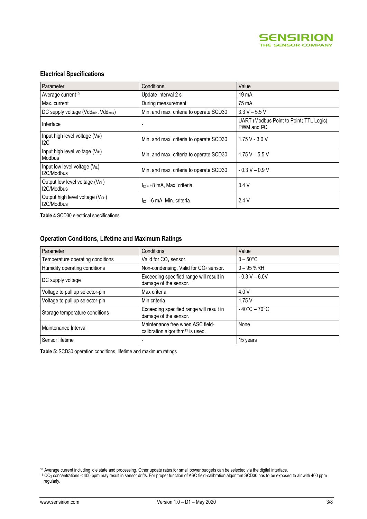

### **Electrical Specifications**

| Parameter                                                    | Conditions                              | Value                                                              |
|--------------------------------------------------------------|-----------------------------------------|--------------------------------------------------------------------|
| Average current <sup>10</sup>                                | Update interval 2 s                     | 19 <sub>mA</sub>                                                   |
| Max. current                                                 | During measurement                      | 75 mA                                                              |
| DC supply voltage (Vdd <sub>min</sub> - Vdd <sub>max</sub> ) | Min. and max. criteria to operate SCD30 | $3.3 V - 5.5 V$                                                    |
| Interface                                                    |                                         | UART (Modbus Point to Point; TTL Logic),<br>PWM and <sup>2</sup> C |
| Input high level voltage $(VIH)$<br>12C                      | Min. and max. criteria to operate SCD30 | $1.75V - 3.0V$                                                     |
| Input high level voltage $(V_{H})$<br><b>Modbus</b>          | Min. and max. criteria to operate SCD30 | $1.75 V - 5.5 V$                                                   |
| Input low level voltage $(V_{IL})$<br>I2C/Modbus             | Min. and max. criteria to operate SCD30 | $-0.3 V - 0.9 V$                                                   |
| Output low level voltage (V <sub>OL</sub> )<br>I2C/Modbus    | $I_{10} = +8$ mA, Max. criteria         | 0.4V                                                               |
| Output high level voltage (V <sub>OH</sub> )<br>I2C/Modbus   | $\ln 5 = -6$ mA. Min. criteria          | 2.4V                                                               |

**Table 4** SCD30 electrical specifications

#### **Operation Conditions, Lifetime and Maximum Ratings**

| Parameter                        | Conditions                                                                       | Value                             |
|----------------------------------|----------------------------------------------------------------------------------|-----------------------------------|
| Temperature operating conditions | Valid for CO <sub>2</sub> sensor.                                                | $0 - 50^{\circ}$ C                |
| Humidity operating conditions    | Non-condensing. Valid for CO <sub>2</sub> sensor.                                | $0 - 95$ %RH                      |
| DC supply voltage                | Exceeding specified range will result in<br>damage of the sensor.                | $-0.3 V - 6.0 V$                  |
| Voltage to pull up selector-pin  | Max criteria                                                                     | 4.0 V                             |
| Voltage to pull up selector-pin  | Min criteria                                                                     | 1.75V                             |
| Storage temperature conditions   | Exceeding specified range will result in<br>damage of the sensor.                | $-40^{\circ}$ C – 70 $^{\circ}$ C |
| Maintenance Interval             | Maintenance free when ASC field-<br>calibration algorithm <sup>11</sup> is used. | None                              |
| Sensor lifetime                  |                                                                                  | 15 years                          |

**Table 5:** SCD30 operation conditions, lifetime and maximum ratings

<sup>10</sup> Average current including idle state and processing. Other update rates for small power budgets can be selected via the digital interface.

<sup>&</sup>lt;sup>11</sup> CO<sub>2</sub> concentrations < 400 ppm may result in sensor drifts. For proper function of ASC field-calibration algorithm SCD30 has to be exposed to air with 400 ppm regularly.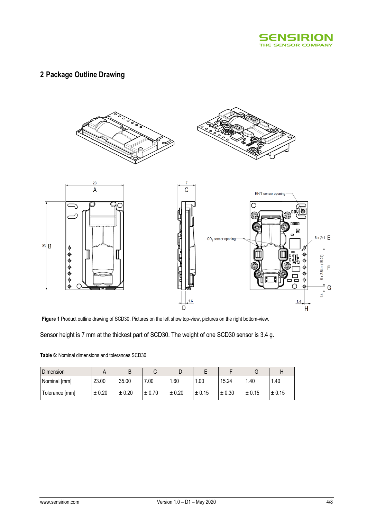

## **2 Package Outline Drawing**



**Figure 1** Product outline drawing of SCD30. Pictures on the left show top-view, pictures on the right bottom-view.

Sensor height is 7 mm at the thickest part of SCD30. The weight of one SCD30 sensor is 3.4 g.

| Table 6: Nominal dimensions and tolerances SCD30 |
|--------------------------------------------------|
|--------------------------------------------------|

| Dimension      |        | B      |        | ◡      |        |            | G      |        |
|----------------|--------|--------|--------|--------|--------|------------|--------|--------|
| Nominal [mm]   | 23.00  | 35.00  | 7.00   | .60    | .00    | 15.24      | 40. ا  | .40    |
| Tolerance [mm] | ± 0.20 | ± 0.20 | ± 0.70 | ± 0.20 | ± 0.15 | $\pm 0.30$ | ± 0.15 | ± 0.15 |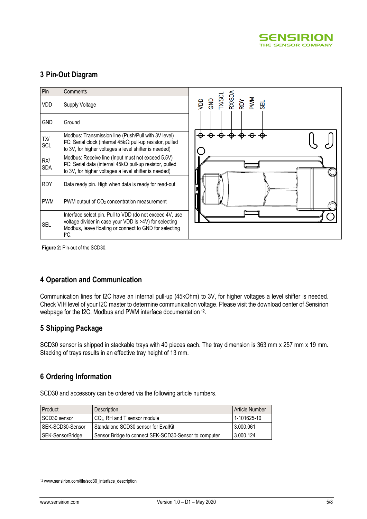

## **3 Pin-Out Diagram**

| Pin               | Comments                                                                                                                                                                             |                                               |
|-------------------|--------------------------------------------------------------------------------------------------------------------------------------------------------------------------------------|-----------------------------------------------|
| <b>VDD</b>        | Supply Voltage                                                                                                                                                                       | VDD<br>GND<br>TXXSDA<br>RXXSDA<br>PVMM<br>SEL |
| <b>GND</b>        | Ground                                                                                                                                                                               |                                               |
| TX/<br>SCL        | Modbus: Transmission line (Push/Pull with 3V level)<br>$12C$ : Serial clock (internal 45k $\Omega$ pull-up resistor, pulled<br>to 3V, for higher voltages a level shifter is needed) |                                               |
| RX/<br><b>SDA</b> | Modbus: Receive line (Input must not exceed 5.5V)<br>I <sup>2</sup> C: Serial data (internal 45kΩ pull-up resistor, pulled<br>to 3V, for higher voltages a level shifter is needed)  |                                               |
| <b>RDY</b>        | Data ready pin. High when data is ready for read-out                                                                                                                                 |                                               |
| <b>PWM</b>        | PWM output of CO <sub>2</sub> concentration measurement                                                                                                                              |                                               |
| <b>SEL</b>        | Interface select pin. Pull to VDD (do not exceed 4V, use<br>voltage divider in case your VDD is >4V) for selecting<br>Modbus, leave floating or connect to GND for selecting<br>PC.  |                                               |

**Figure 2:** Pin-out of the SCD30.

## **4 Operation and Communication**

Communication lines for I2C have an internal pull-up (45kOhm) to 3V, for higher voltages a level shifter is needed. Check VIH level of your I2C master to determine communication voltage. Please visit the download center of Sensirion webpage for the I2C, Modbus and PWM interface documentation <sup>12</sup>.

### **5 Shipping Package**

SCD30 sensor is shipped in stackable trays with 40 pieces each. The tray dimension is 363 mm x 257 mm x 19 mm. Stacking of trays results in an effective tray height of 13 mm.

## **6 Ordering Information**

SCD30 and accessory can be ordered via the following article numbers.

| Product          | Description                                           | Article Number |
|------------------|-------------------------------------------------------|----------------|
| ⊩SCD30 sensor    | CO <sub>2</sub> , RH and T sensor module              | 1-101625-10    |
| SEK-SCD30-Sensor | Standalone SCD30 sensor for EvalKit                   | 3.000.061      |
| SEK-SensorBridge | Sensor Bridge to connect SEK-SCD30-Sensor to computer | 3.000.124      |

<sup>&</sup>lt;sup>12</sup> www.sensirion.com/file/scd30\_interface\_description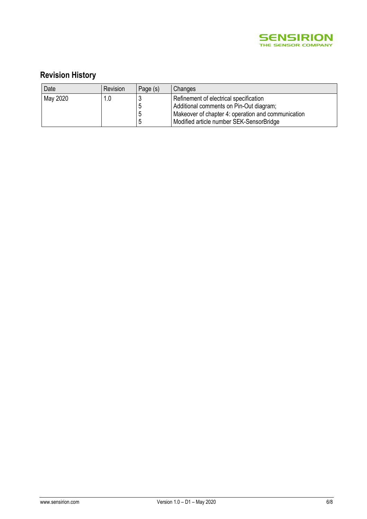

## **Revision History**

| Date     | Revision | Page (s) | Changes                                            |
|----------|----------|----------|----------------------------------------------------|
| May 2020 | 1.0      |          | Refinement of electrical specification             |
|          |          |          | Additional comments on Pin-Out diagram;            |
|          |          |          | Makeover of chapter 4: operation and communication |
|          |          |          | Modified article number SEK-SensorBridge           |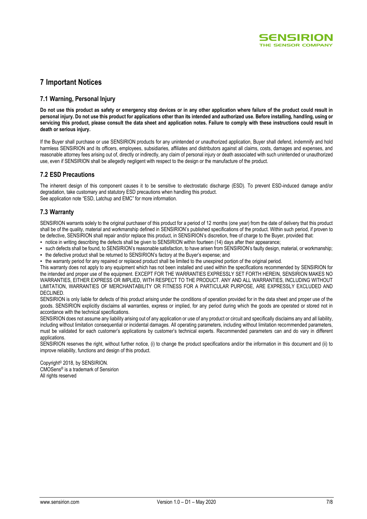

### **7 Important Notices**

#### **7.1 Warning, Personal Injury**

**Do not use this product as safety or emergency stop devices or in any other application where failure of the product could result in personal injury. Do not use this product for applications other than its intended and authorized use. Before installing, handling, using or servicing this product, please consult the data sheet and application notes. Failure to comply with these instructions could result in death or serious injury.**

If the Buyer shall purchase or use SENSIRION products for any unintended or unauthorized application, Buyer shall defend, indemnify and hold harmless SENSIRION and its officers, employees, subsidiaries, affiliates and distributors against all claims, costs, damages and expenses, and reasonable attorney fees arising out of, directly or indirectly, any claim of personal injury or death associated with such unintended or unauthorized use, even if SENSIRION shall be allegedly negligent with respect to the design or the manufacture of the product.

#### **7.2 ESD Precautions**

The inherent design of this component causes it to be sensitive to electrostatic discharge (ESD). To prevent ESD-induced damage and/or degradation, take customary and statutory ESD precautions when handling this product. See application note "ESD, Latchup and EMC" for more information.

#### **7.3 Warranty**

SENSIRION warrants solely to the original purchaser of this product for a period of 12 months (one year) from the date of delivery that this product shall be of the quality, material and workmanship defined in SENSIRION's published specifications of the product. Within such period, if proven to be defective, SENSIRION shall repair and/or replace this product, in SENSIRION's discretion, free of charge to the Buyer, provided that:

- notice in writing describing the defects shall be given to SENSIRION within fourteen (14) days after their appearance;
- such defects shall be found, to SENSIRION's reasonable satisfaction, to have arisen from SENSIRION's faulty design, material, or workmanship; ▪ the defective product shall be returned to SENSIRION's factory at the Buyer's expense; and
- the warranty period for any repaired or replaced product shall be limited to the unexpired portion of the original period.

This warranty does not apply to any equipment which has not been installed and used within the specifications recommended by SENSIRION for the intended and proper use of the equipment. EXCEPT FOR THE WARRANTIES EXPRESSLY SET FORTH HEREIN, SENSIRION MAKES NO WARRANTIES, EITHER EXPRESS OR IMPLIED, WITH RESPECT TO THE PRODUCT. ANY AND ALL WARRANTIES, INCLUDING WITHOUT LIMITATION, WARRANTIES OF MERCHANTABILITY OR FITNESS FOR A PARTICULAR PURPOSE, ARE EXPRESSLY EXCLUDED AND DECLINED.

SENSIRION is only liable for defects of this product arising under the conditions of operation provided for in the data sheet and proper use of the goods. SENSIRION explicitly disclaims all warranties, express or implied, for any period during which the goods are operated or stored not in accordance with the technical specifications.

SENSIRION does not assume any liability arising out of any application or use of any product or circuit and specifically disclaims any and all liability. including without limitation consequential or incidental damages. All operating parameters, including without limitation recommended parameters, must be validated for each customer's applications by customer's technical experts. Recommended parameters can and do vary in different applications.

SENSIRION reserves the right, without further notice, (i) to change the product specifications and/or the information in this document and (ii) to improve reliability, functions and design of this product.

Copyright© 2018, by SENSIRION. CMOSens® is a trademark of Sensirion All rights reserved